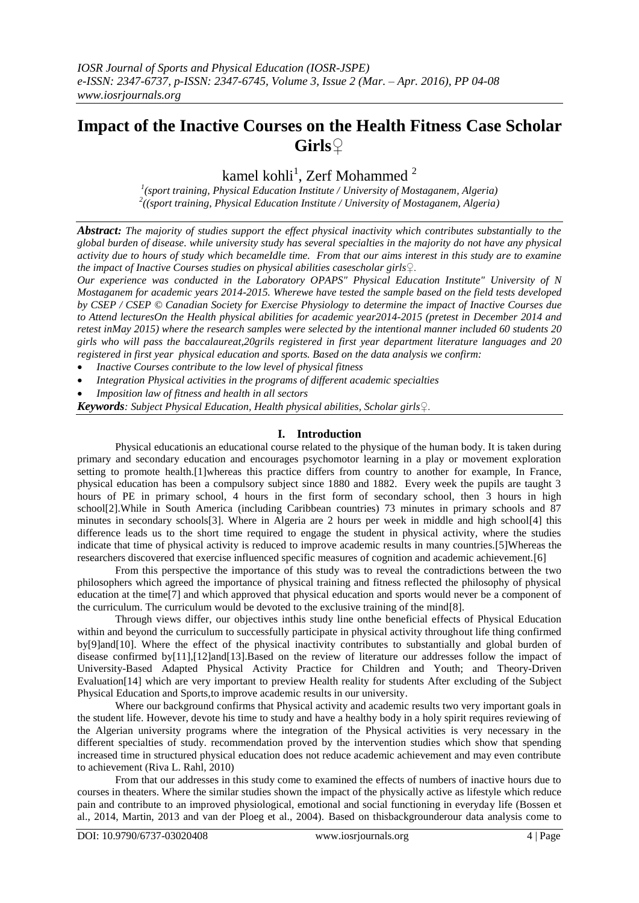*IOSR Journal of Sports and Physical Education (IOSR-JSPE) e-ISSN: 2347-6737, p-ISSN: 2347-6745, Volume 3, Issue 2 (Mar. – Apr. 2016), PP 04-08 www.iosrjournals.org*

# **Impact of the Inactive Courses on the Health Fitness Case Scholar Girls♀**

kamel kohli $^1$ , Zerf Mohammed  $^2$ 

*1 (sport training, Physical Education Institute / University of Mostaganem, Algeria) 2 ((sport training, Physical Education Institute / University of Mostaganem, Algeria)*

*Abstract: The majority of studies support the effect physical inactivity which contributes substantially to the global burden of disease. while university study has several specialties in the majority do not have any physical activity due to hours of study which becameIdle time. From that our aims interest in this study are to examine the impact of Inactive Courses studies on physical abilities casescholar girls♀.*

*Our experience was conducted in the Laboratory OPAPS" Physical Education Institute" University of N Mostaganem for academic years 2014-2015. Wherewe have tested the sample based on the field tests developed by CSEP / CSEP © Canadian Society for Exercise Physiology to determine the impact of Inactive Courses due to Attend lecturesOn the Health physical abilities for academic year2014-2015 (pretest in December 2014 and retest inMay 2015) where the research samples were selected by the intentional manner included 60 students 20 girls who will pass the baccalaureat,20grils registered in first year department literature languages and 20 registered in first year physical education and sports. Based on the data analysis we confirm:*

- *Inactive Courses contribute to the low level of physical fitness*
- *Integration Physical activities in the programs of different academic specialties*
- *Imposition law of fitness and health in all sectors*

*Keywords: Subject Physical Education, Health physical abilities, Scholar girls♀.*

# **I. Introduction**

Physical educationis an educational course related to the physique of the human body. It is taken during primary and secondary education and encourages psychomotor learning in a play or movement exploration setting to promote health.[1]whereas this practice differs from country to another for example, In France, physical education has been a compulsory subject since 1880 and 1882. Every week the pupils are taught 3 hours of PE in primary school, 4 hours in the first form of secondary school, then 3 hours in high school[2].While in South America (including Caribbean countries) 73 minutes in primary schools and 87 minutes in secondary schools[3]. Where in Algeria are 2 hours per week in middle and high school[4] this difference leads us to the short time required to engage the student in physical activity, where the studies indicate that time of physical activity is reduced to improve academic results in many countries.[5]Whereas the researchers discovered that exercise influenced specific measures of cognition and academic achievement.[6]

From this perspective the importance of this study was to reveal the contradictions between the two philosophers which agreed the importance of physical training and fitness reflected the philosophy of physical education at the time[7] and which approved that physical education and sports would never be a component of the curriculum. The curriculum would be devoted to the exclusive training of the mind[8].

Through views differ, our objectives inthis study line onthe beneficial effects of Physical Education within and beyond the curriculum to successfully participate in physical activity throughout life thing confirmed by[9]and[10]. Where the effect of the physical inactivity contributes to substantially and global burden of disease confirmed by[11],[12]and[13].Based on the review of literature our addresses follow the impact of University-Based Adapted Physical Activity Practice for Children and Youth; and Theory-Driven Evaluation[14] which are very important to preview Health reality for students After excluding of the Subject Physical Education and Sports,to improve academic results in our university.

Where our background confirms that Physical activity and academic results two very important goals in the student life. However, devote his time to study and have a healthy body in a holy spirit requires reviewing of the Algerian university programs where the integration of the Physical activities is very necessary in the different specialties of study. recommendation proved by the intervention studies which show that spending increased time in structured physical education does not reduce academic achievement and may even contribute to achievement (Riva L. Rahl, 2010)

From that our addresses in this study come to examined the effects of numbers of inactive hours due to courses in theaters. Where the similar studies shown the impact of the physically active as lifestyle which reduce pain and contribute to an improved physiological, emotional and social functioning in everyday life (Bossen et al., 2014, Martin, 2013 and van der Ploeg et al., 2004). Based on thisbackgrounderour data analysis come to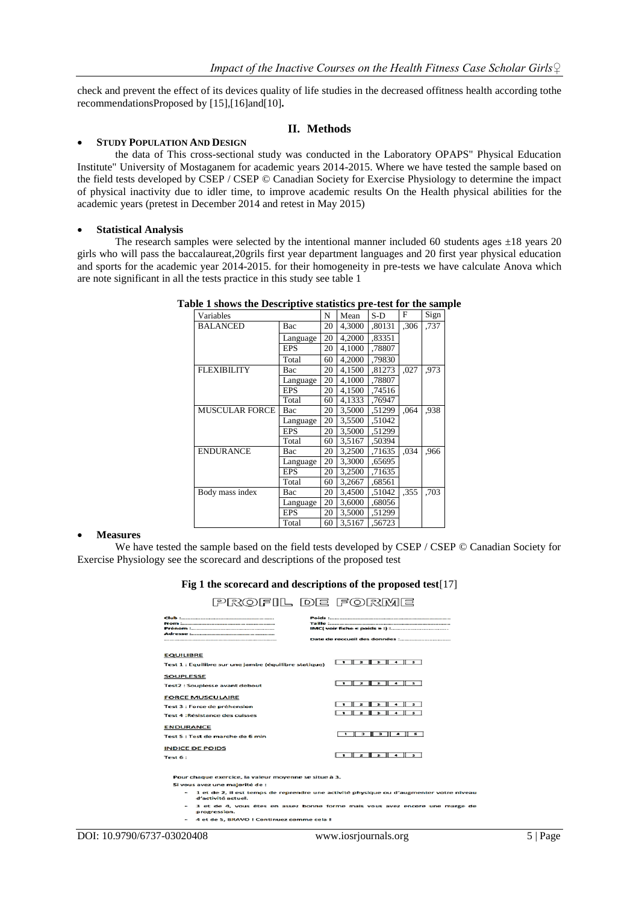check and prevent the effect of its devices quality of life studies in the decreased offitness health according tothe recommendationsProposed by [15],[16]and[10]**.**

## **II. Methods**

## **STUDY POPULATION AND DESIGN**

the data of This cross-sectional study was conducted in the Laboratory OPAPS" Physical Education Institute" University of Mostaganem for academic years 2014-2015. Where we have tested the sample based on the field tests developed by CSEP / CSEP © Canadian Society for Exercise Physiology to determine the impact of physical inactivity due to idler time, to improve academic results On the Health physical abilities for the academic years (pretest in December 2014 and retest in May 2015)

## **Statistical Analysis**

The research samples were selected by the intentional manner included 60 students ages  $\pm 18$  years 20 girls who will pass the baccalaureat,20grils first year department languages and 20 first year physical education and sports for the academic year 2014-2015. for their homogeneity in pre-tests we have calculate Anova which are note significant in all the tests practice in this study see table 1

| Variables             |            | N  | Mean   | $S-D$  | F    | Sign |
|-----------------------|------------|----|--------|--------|------|------|
| <b>BALANCED</b>       | Bac        | 20 | 4,3000 | .80131 | .306 | ,737 |
|                       | Language   | 20 | 4,2000 | .83351 |      |      |
|                       | <b>EPS</b> | 20 | 4,1000 | ,78807 |      |      |
|                       | Total      | 60 | 4,2000 | .79830 |      |      |
| <b>FLEXIBILITY</b>    | Bac        | 20 | 4,1500 | ,81273 | ,027 | .973 |
|                       | Language   | 20 | 4.1000 | .78807 |      |      |
|                       | <b>EPS</b> | 20 | 4,1500 | .74516 |      |      |
|                       | Total      | 60 | 4,1333 | ,76947 |      |      |
| <b>MUSCULAR FORCE</b> | Bac        | 20 | 3,5000 | .51299 | ,064 | ,938 |
|                       | Language   | 20 | 3,5500 | .51042 |      |      |
|                       | <b>EPS</b> | 20 | 3,5000 | .51299 |      |      |
|                       | Total      | 60 | 3,5167 | .50394 |      |      |
| <b>ENDURANCE</b>      | Bac        | 20 | 3,2500 | .71635 | ,034 | ,966 |
|                       | Language   | 20 | 3,3000 | .65695 |      |      |
|                       | <b>EPS</b> | 20 | 3,2500 | .71635 |      |      |
|                       | Total      | 60 | 3,2667 | .68561 |      |      |
| Body mass index       | Bac        | 20 | 3,4500 | .51042 | ,355 | .703 |
|                       | Language   | 20 | 3,6000 | ,68056 |      |      |
|                       | <b>EPS</b> | 20 | 3,5000 | .51299 |      |      |
|                       | Total      | 60 | 3,5167 | .56723 |      |      |

#### **Table 1 shows the Descriptive statistics pre-test for the sample**

#### **Measures**

We have tested the sample based on the field tests developed by CSEP / CSEP © Canadian Society for Exercise Physiology see the scorecard and descriptions of the proposed test

## **Fig 1 the scorecard and descriptions of the proposed test**[17]

PROFIL DE FORME

| <b>EQUILIBRE</b><br>Test 1 : Equilibre sur une jambe (équilibre statique)                         |                                                                        |
|---------------------------------------------------------------------------------------------------|------------------------------------------------------------------------|
| <b>SOUPLESSE</b><br><b>Test2: Souplesse avant debout</b>                                          | $\Box$ $\Box$ $\Box$ $\Box$ $\Box$ $\Box$ $\Box$ $\Box$                |
| <b>FORCE MUSCULAIRE</b><br>Test 3 : Force de préhension<br><b>Test 4 : Résistance des cuisses</b> | $2$ $3$ $4$ $5$<br>$\blacksquare$<br>$1$ $2$ $3$ $4$ $5$               |
| <b>ENDURANCE</b><br>Test 5 : Test de marche de 6 min<br><b>INDICE DE POIDS</b>                    | 1 2 2 1 4 5<br>$\Box$ $\Box$ $\Box$ $\Box$ $\Box$ $\Box$ $\Box$ $\Box$ |
| Test 6:                                                                                           |                                                                        |
|                                                                                                   |                                                                        |

our chaque exercice, la valeur moyenne se situe à 3. Si vous avez une majorité de :

- 1 et de 2, il est temps de reprendre une activité physique ou d'augmenter votre niveau<br>d'activité actuel.

- o activité actuer.<br>3 et de 4, vous êtes en assez bonne forme mais vous avez encore une marge de<br>progression.
- 4 et de 5, BRAVO I Continuez comme cela I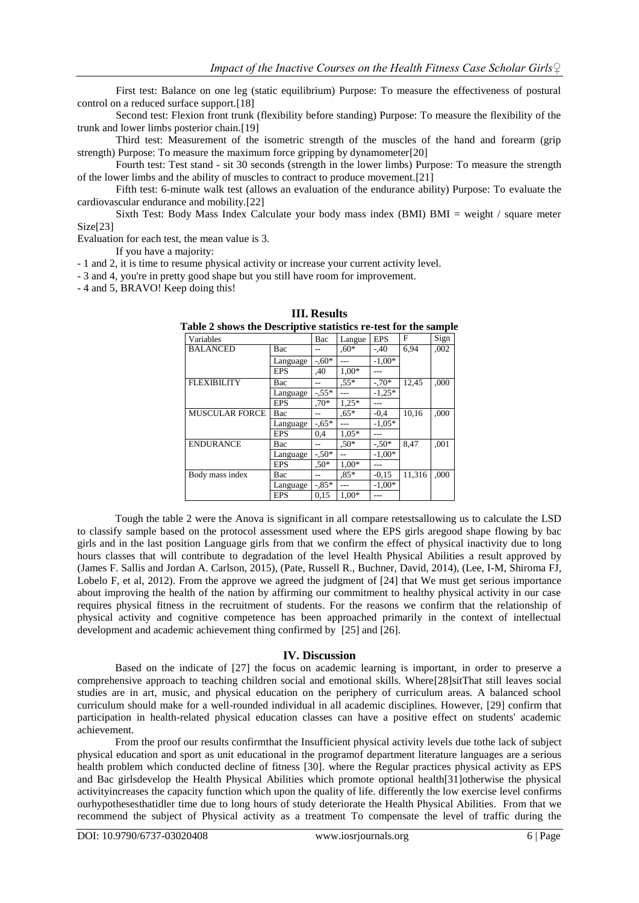First test: Balance on one leg (static equilibrium) Purpose: To measure the effectiveness of postural control on a reduced surface support.[18]

Second test: Flexion front trunk (flexibility before standing) Purpose: To measure the flexibility of the trunk and lower limbs posterior chain.[19]

Third test: Measurement of the isometric strength of the muscles of the hand and forearm (grip strength) Purpose: To measure the maximum force gripping by dynamometer[20]

Fourth test: Test stand - sit 30 seconds (strength in the lower limbs) Purpose: To measure the strength of the lower limbs and the ability of muscles to contract to produce movement.[21]

Fifth test: 6-minute walk test (allows an evaluation of the endurance ability) Purpose: To evaluate the cardiovascular endurance and mobility.[22]

Sixth Test: Body Mass Index Calculate your body mass index (BMI) BMI = weight / square meter Size[23]

Evaluation for each test, the mean value is 3.

If you have a majority:

- 1 and 2, it is time to resume physical activity or increase your current activity level.

- 3 and 4, you're in pretty good shape but you still have room for improvement.

- 4 and 5, BRAVO! Keep doing this!

| $\mu$ able $\mu$ shows the descriptive statistics re-test for the sample |            |         |         |            |        |      |
|--------------------------------------------------------------------------|------------|---------|---------|------------|--------|------|
| Variables                                                                |            | Bac     | Langue  | <b>EPS</b> | F      | Sign |
| <b>BALANCED</b>                                                          | Bac        |         | $.60*$  | $-.40$     | 6,94   | ,002 |
|                                                                          | Language   | $-.60*$ |         | $-1.00*$   |        |      |
|                                                                          | <b>EPS</b> | ,40     | $1.00*$ |            |        |      |
| <b>FLEXIBILITY</b>                                                       | Bac        |         | $.55*$  | $-.70*$    | 12,45  | ,000 |
|                                                                          | Language   | $-.55*$ |         | $-1.25*$   |        |      |
|                                                                          | <b>EPS</b> | $.70*$  | $1,25*$ |            |        |      |
| <b>MUSCULAR FORCE</b>                                                    | Bac        |         | $0.65*$ | $-0.4$     | 10.16  | .000 |
|                                                                          | Language   | $-.65*$ |         | $-1.05*$   |        |      |
|                                                                          | <b>EPS</b> | 0,4     | $1.05*$ |            |        |      |
| <b>ENDURANCE</b>                                                         | Bac        |         | $.50*$  | $-.50*$    | 8.47   | .001 |
|                                                                          | Language   | $-.50*$ |         | $-1.00*$   |        |      |
|                                                                          | <b>EPS</b> | $.50*$  | $1.00*$ |            |        |      |
| Body mass index                                                          | Bac        |         | $.85*$  | $-0.15$    | 11.316 | .000 |
|                                                                          | Language   | $-85*$  |         | $-1.00*$   |        |      |
|                                                                          | <b>EPS</b> | 0.15    | 1.00*   |            |        |      |

**III. Results Table 2 shows the Descriptive statistics re-test for the sample**

Tough the table 2 were the Anova is significant in all compare retestsallowing us to calculate the LSD to classify sample based on the protocol assessment used where the EPS girls aregood shape flowing by bac girls and in the last position Language girls from that we confirm the effect of physical inactivity due to long hours classes that will contribute to degradation of the level Health Physical Abilities a result approved by (James F. Sallis and Jordan A. Carlson, 2015), (Pate, Russell R., Buchner, David, 2014), (Lee, I-M, Shiroma FJ, Lobelo F, et al, 2012). From the approve we agreed the judgment of [24] that We must get serious importance about improving the health of the nation by affirming our commitment to healthy physical activity in our case requires physical fitness in the recruitment of students. For the reasons we confirm that the relationship of physical activity and cognitive competence has been approached primarily in the context of intellectual development and academic achievement thing confirmed by [25] and [26].

## **IV. Discussion**

Based on the indicate of [27] the focus on academic learning is important, in order to preserve a comprehensive approach to teaching children social and emotional skills. Where[28]sitThat still leaves social studies are in art, music, and physical education on the periphery of curriculum areas. A balanced school curriculum should make for a well-rounded individual in all academic disciplines. However, [29] confirm that participation in health-related physical education classes can have a positive effect on students' academic achievement.

From the proof our results confirmthat the Insufficient physical activity levels due tothe lack of subject physical education and sport as unit educational in the programof department literature languages are a serious health problem which conducted decline of fitness [30]. where the Regular practices physical activity as EPS and Bac girlsdevelop the Health Physical Abilities which promote optional health[31]otherwise the physical activityincreases the capacity function which upon the quality of life. differently the low exercise level confirms ourhypothesesthatidler time due to long hours of study deteriorate the Health Physical Abilities. From that we recommend the subject of Physical activity as a treatment To compensate the level of traffic during the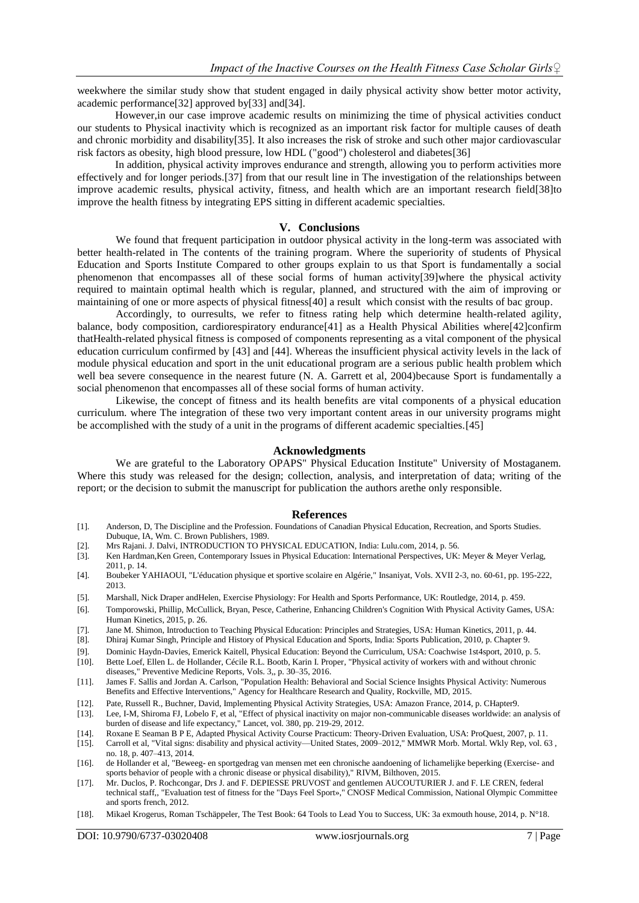weekwhere the similar study show that student engaged in daily physical activity show better motor activity, academic performance[32] approved by[33] and[34].

However,in our case improve academic results on minimizing the time of physical activities conduct our students to Physical inactivity which is recognized as an important risk factor for multiple causes of death and chronic morbidity and disability[35]. It also increases the risk of stroke and such other major cardiovascular risk factors as obesity, high blood pressure, low HDL ("good") cholesterol and diabetes[36]

In addition, physical activity improves endurance and strength, allowing you to perform activities more effectively and for longer periods.[37] from that our result line in The investigation of the relationships between improve academic results, physical activity, fitness, and health which are an important research field[38]to improve the health fitness by integrating EPS sitting in different academic specialties.

## **V. Conclusions**

We found that frequent participation in outdoor physical activity in the long-term was associated with better health-related in The contents of the training program. Where the superiority of students of Physical Education and Sports Institute Compared to other groups explain to us that Sport is fundamentally a social phenomenon that encompasses all of these social forms of human activity[39]where the physical activity required to maintain optimal health which is regular, planned, and structured with the aim of improving or maintaining of one or more aspects of physical fitness[40] a result which consist with the results of bac group.

Accordingly, to ourresults, we refer to fitness rating help which determine health-related agility, balance, body composition, cardiorespiratory endurance[41] as a Health Physical Abilities where[42]confirm thatHealth-related physical fitness is composed of components representing as a vital component of the physical education curriculum confirmed by [43] and [44]. Whereas the insufficient physical activity levels in the lack of module physical education and sport in the unit educational program are a serious public health problem which well bea severe consequence in the nearest future (N. A. Garrett et al, 2004)because Sport is fundamentally a social phenomenon that encompasses all of these social forms of human activity.

Likewise, the concept of fitness and its health benefits are vital components of a physical education curriculum. where The integration of these two very important content areas in our university programs might be accomplished with the study of a unit in the programs of different academic specialties.[45]

## **Acknowledgments**

We are grateful to the Laboratory OPAPS" Physical Education Institute" University of Mostaganem. Where this study was released for the design; collection, analysis, and interpretation of data; writing of the report; or the decision to submit the manuscript for publication the authors arethe only responsible.

#### **References**

- [1]. Anderson, D, The Discipline and the Profession. Foundations of Canadian Physical Education, Recreation, and Sports Studies. Dubuque, IA, Wm. C. Brown Publishers, 1989.
- [2]. Mrs Rajani. J. Dalvi, INTRODUCTION TO PHYSICAL EDUCATION, India: Lulu.com, 2014, p. 56.
- [3]. Ken Hardman,Ken Green, Contemporary Issues in Physical Education: International Perspectives, UK: Meyer & Meyer Verlag, 2011, p. 14.
- [4]. Boubeker YAHIAOUI, "L'éducation physique et sportive scolaire en Algérie," Insaniyat, Vols. XVII 2-3, no. 60-61, pp. 195-222, 2013.
- [5]. Marshall, Nick Draper andHelen, Exercise Physiology: For Health and Sports Performance, UK: Routledge, 2014, p. 459.
- [6]. Tomporowski, Phillip, McCullick, Bryan, Pesce, Catherine, Enhancing Children's Cognition With Physical Activity Games, USA: Human Kinetics, 2015, p. 26.
- [7]. Jane M. Shimon, Introduction to Teaching Physical Education: Principles and Strategies, USA: Human Kinetics, 2011, p. 44.
- [8]. Dhiraj Kumar Singh, Principle and History of Physical Education and Sports, India: Sports Publication, 2010, p. Chapter 9.
- [9]. Dominic Haydn-Davies, Emerick Kaitell, Physical Education: Beyond the Curriculum, USA: Coachwise 1st4sport, 2010, p. 5. [10]. Bette Loef, Ellen L. de Hollander, Cécile R.L. Bootb, Karin I. Proper, "Physical activity of workers with and without chronic
- diseases," Preventive Medicine Reports, Vols. 3,, p. 30–35, 2016. [11]. James F. Sallis and Jordan A. Carlson, "Population Health: Behavioral and Social Science Insights Physical Activity: Numerous
- Benefits and Effective Interventions," Agency for Healthcare Research and Quality, Rockville, MD, 2015.
- [12]. Pate, Russell R., Buchner, David, Implementing Physical Activity Strategies, USA: Amazon France, 2014, p. CHapter9. [13]. Lee, I-M, Shiroma FJ, Lobelo F, et al, "Effect of physical inactivity on major non-communicable diseases worldwide: an analysis of
- burden of disease and life expectancy," Lancet, vol. 380, pp. 219-29, 2012.
- [14]. Roxane E Seaman B P E, Adapted Physical Activity Course Practicum: Theory-Driven Evaluation, USA: ProQuest, 2007, p. 11.
- [15]. Carroll et al, "Vital signs: disability and physical activity—United States, 2009–2012," MMWR Morb. Mortal. Wkly Rep, vol. 63 , no. 18, p. 407–413, 2014.
- [16]. de Hollander et al, "Beweeg- en sportgedrag van mensen met een chronische aandoening of lichamelijke beperking (Exercise- and sports behavior of people with a chronic disease or physical disability)," RIVM, Bilthoven, 2015.
- [17]. Mr. Duclos, P. Rochcongar, Drs J. and F. DEPIESSE PRUVOST and gentlemen AUCOUTURIER J. and F. LE CREN, federal technical staff,, "Evaluation test of fitness for the "Days Feel Sport»," CNOSF Medical Commission, National Olympic Committee and sports french, 2012.
- [18]. Mikael Krogerus, Roman Tschäppeler, The Test Book: 64 Tools to Lead You to Success, UK: 3a exmouth house, 2014, p. N°18.